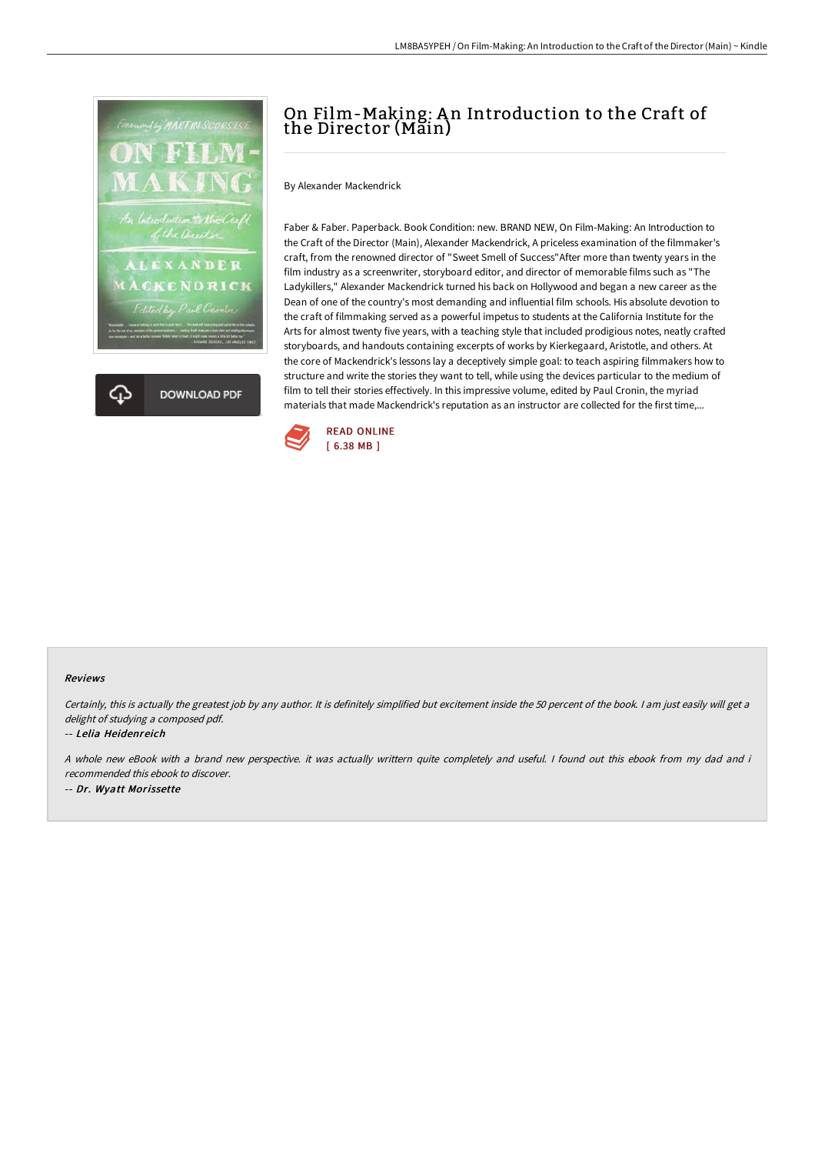

# On Film-Making: An Introduction to the Craft of the Director (Main)

By Alexander Mackendrick

Faber & Faber. Paperback. Book Condition: new. BRAND NEW, On Film-Making: An Introduction to the Craft of the Director (Main), Alexander Mackendrick, A priceless examination of the filmmaker's craft, from the renowned director of "Sweet Smell of Success"After more than twenty years in the film industry as a screenwriter, storyboard editor, and director of memorable films such as "The Ladykillers," Alexander Mackendrick turned his back on Hollywood and began a new career as the Dean of one of the country's most demanding and influential film schools. His absolute devotion to the craft of filmmaking served as a powerful impetus to students at the California Institute for the Arts for almost twenty five years, with a teaching style that included prodigious notes, neatly crafted storyboards, and handouts containing excerpts of works by Kierkegaard, Aristotle, and others. At the core of Mackendrick's lessons lay a deceptively simple goal: to teach aspiring filmmakers how to structure and write the stories they want to tell, while using the devices particular to the medium of film to tell their stories effectively. In this impressive volume, edited by Paul Cronin, the myriad materials that made Mackendrick's reputation as an instructor are collected for the first time,...



### Reviews

Certainly, this is actually the greatest job by any author. It is definitely simplified but excitement inside the 50 percent of the book. I am just easily will get a delight of studying <sup>a</sup> composed pdf.

### -- Lelia Heidenreich

A whole new eBook with <sup>a</sup> brand new perspective. it was actually writtern quite completely and useful. I found out this ebook from my dad and i recommended this ebook to discover.

-- Dr. Wyatt Morissette